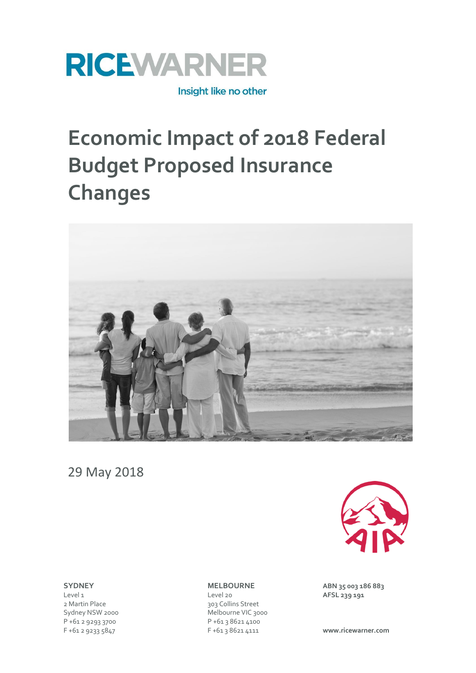

# **Economic Impact of 2018 Federal Budget Proposed Insurance Changes**



29 May 2018

P +61 2 9293 3700 P +61 3 8621 4100

Level 1 **AFSL 239 191**<br>
2 Martin Place **AFSL 239 191**<br>
2 Martin Place **After the Colling Street** 303 Collins Street Sydney NSW 2000 Melbourne VIC 3000 F +61 2 9233 5847 F +61 3 8621 4111 **www.ricewarner.com**



**SYDNEY MELBOURNE ABN 35 003 186 883**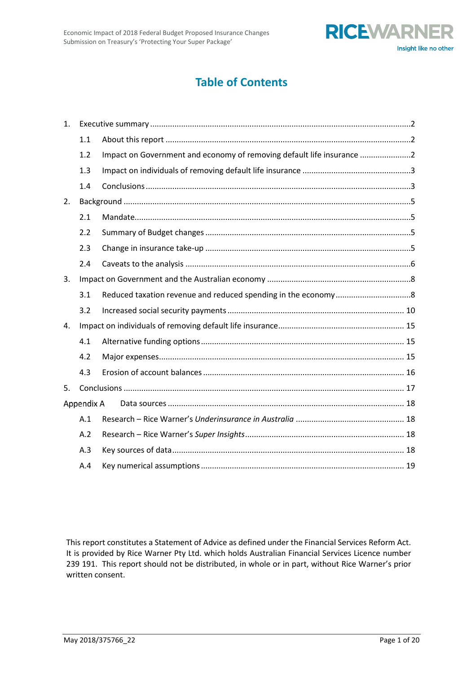

# **Table of Contents**

| 1. |            |                                                                       |
|----|------------|-----------------------------------------------------------------------|
|    | 1.1        |                                                                       |
|    | 1.2        | Impact on Government and economy of removing default life insurance 2 |
|    | 1.3        |                                                                       |
|    | 1.4        |                                                                       |
| 2. |            |                                                                       |
|    | 2.1        |                                                                       |
|    | 2.2        |                                                                       |
|    | 2.3        |                                                                       |
|    | 2.4        |                                                                       |
| 3. |            |                                                                       |
|    | 3.1        |                                                                       |
|    | 3.2        |                                                                       |
| 4. |            |                                                                       |
|    | 4.1        |                                                                       |
|    | 4.2        |                                                                       |
|    | 4.3        |                                                                       |
| 5. |            |                                                                       |
|    | Appendix A |                                                                       |
|    | A.1        |                                                                       |
|    | A.2        |                                                                       |
|    | A.3        |                                                                       |
|    | A.4        |                                                                       |

This report constitutes a Statement of Advice as defined under the Financial Services Reform Act. It is provided by Rice Warner Pty Ltd. which holds Australian Financial Services Licence number 239 191. This report should not be distributed, in whole or in part, without Rice Warner's prior written consent.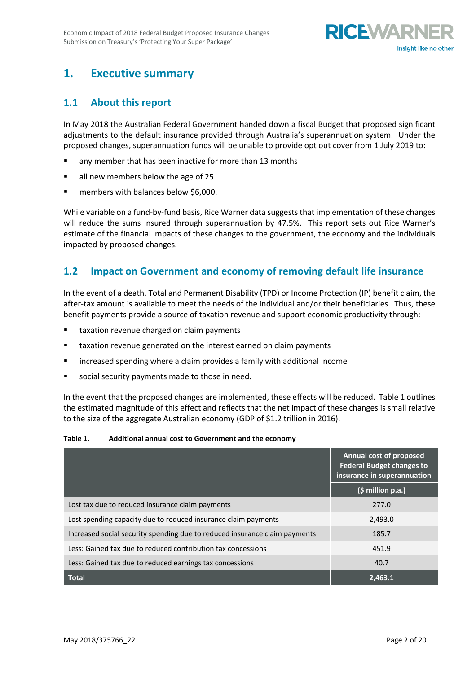

# <span id="page-2-1"></span><span id="page-2-0"></span>**1. Executive summary**

#### **1.1 About this report**

In May 2018 the Australian Federal Government handed down a fiscal Budget that proposed significant adjustments to the default insurance provided through Australia's superannuation system. Under the proposed changes, superannuation funds will be unable to provide opt out cover from 1 July 2019 to:

- any member that has been inactive for more than 13 months
- all new members below the age of 25
- members with balances below \$6,000.

While variable on a fund-by-fund basis, Rice Warner data suggests that implementation of these changes will reduce the sums insured through superannuation by 47.5%. This report sets out Rice Warner's estimate of the financial impacts of these changes to the government, the economy and the individuals impacted by proposed changes.

# <span id="page-2-2"></span>**1.2 Impact on Government and economy of removing default life insurance**

In the event of a death, Total and Permanent Disability (TPD) or Income Protection (IP) benefit claim, the after-tax amount is available to meet the needs of the individual and/or their beneficiaries. Thus, these benefit payments provide a source of taxation revenue and support economic productivity through:

- taxation revenue charged on claim payments
- taxation revenue generated on the interest earned on claim payments
- increased spending where a claim provides a family with additional income
- social security payments made to those in need.

In the event that the proposed changes are implemented, these effects will be reduced. Table 1 outlines the estimated magnitude of this effect and reflects that the net impact of these changes is small relative to the size of the aggregate Australian economy (GDP of \$1.2 trillion in 2016).

**Table 1. Additional annual cost to Government and the economy**

|                                                                            | Annual cost of proposed<br><b>Federal Budget changes to</b><br>insurance in superannuation |
|----------------------------------------------------------------------------|--------------------------------------------------------------------------------------------|
|                                                                            | $(\xi million p.a.)$                                                                       |
| Lost tax due to reduced insurance claim payments                           | 277.0                                                                                      |
| Lost spending capacity due to reduced insurance claim payments             | 2,493.0                                                                                    |
| Increased social security spending due to reduced insurance claim payments | 185.7                                                                                      |
| Less: Gained tax due to reduced contribution tax concessions               | 451.9                                                                                      |
| Less: Gained tax due to reduced earnings tax concessions                   | 40.7                                                                                       |
| <b>Total</b>                                                               | 2.463.1                                                                                    |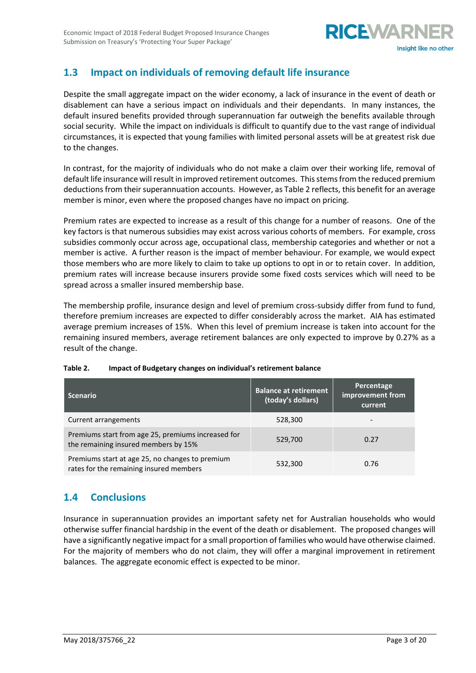

# <span id="page-3-0"></span>**1.3 Impact on individuals of removing default life insurance**

Despite the small aggregate impact on the wider economy, a lack of insurance in the event of death or disablement can have a serious impact on individuals and their dependants. In many instances, the default insured benefits provided through superannuation far outweigh the benefits available through social security. While the impact on individuals is difficult to quantify due to the vast range of individual circumstances, it is expected that young families with limited personal assets will be at greatest risk due to the changes.

In contrast, for the majority of individuals who do not make a claim over their working life, removal of default life insurance will result in improved retirement outcomes. This stems from the reduced premium deductions from their superannuation accounts. However, as Table 2 reflects, this benefit for an average member is minor, even where the proposed changes have no impact on pricing.

Premium rates are expected to increase as a result of this change for a number of reasons. One of the key factors is that numerous subsidies may exist across various cohorts of members. For example, cross subsidies commonly occur across age, occupational class, membership categories and whether or not a member is active. A further reason is the impact of member behaviour. For example, we would expect those members who are more likely to claim to take up options to opt in or to retain cover. In addition, premium rates will increase because insurers provide some fixed costs services which will need to be spread across a smaller insured membership base.

The membership profile, insurance design and level of premium cross-subsidy differ from fund to fund, therefore premium increases are expected to differ considerably across the market. AIA has estimated average premium increases of 15%. When this level of premium increase is taken into account for the remaining insured members, average retirement balances are only expected to improve by 0.27% as a result of the change.

| <b>Scenario</b>                                                                            | <b>Balance at retirement</b><br>(today's dollars) | Percentage<br>improvement from<br>current |
|--------------------------------------------------------------------------------------------|---------------------------------------------------|-------------------------------------------|
| Current arrangements                                                                       | 528,300                                           |                                           |
| Premiums start from age 25, premiums increased for<br>the remaining insured members by 15% | 529,700                                           | 0.27                                      |
| Premiums start at age 25, no changes to premium<br>rates for the remaining insured members | 532,300                                           | 0.76                                      |

#### **Table 2. Impact of Budgetary changes on individual's retirement balance**

# <span id="page-3-1"></span>**1.4 Conclusions**

Insurance in superannuation provides an important safety net for Australian households who would otherwise suffer financial hardship in the event of the death or disablement. The proposed changes will have a significantly negative impact for a small proportion of families who would have otherwise claimed. For the majority of members who do not claim, they will offer a marginal improvement in retirement balances. The aggregate economic effect is expected to be minor.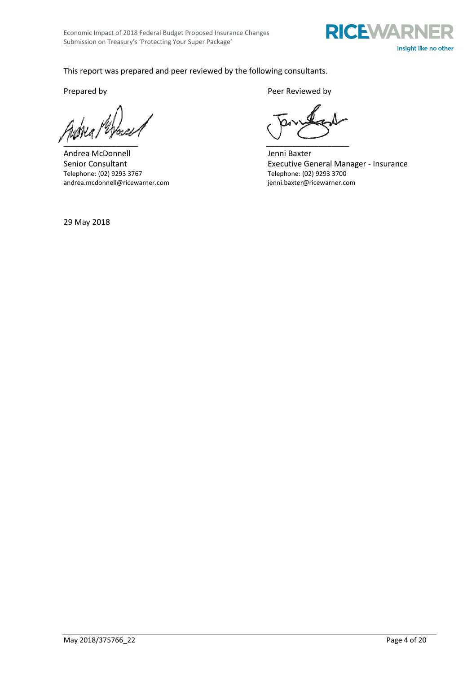

#### This report was prepared and peer reviewed by the following consultants.

\_\_\_\_\_\_\_\_\_\_\_\_\_\_\_\_\_ \_\_\_\_\_\_\_\_\_\_\_\_\_\_\_\_\_\_\_

Andrea McDonnell and The Jenni Baxter andrea.mcdonnell@ricewarner.com

Prepared by Peer Reviewed by Peer Reviewed by

Senior Consultant<br>
Telephone: (02) 9293 3767<br>
Telephone: (02) 9293 3700<br>
Telephone: (02) 9293 3700 Telephone: (02) 9293 3700<br>jenni.baxter@ricewarner.com

29 May 2018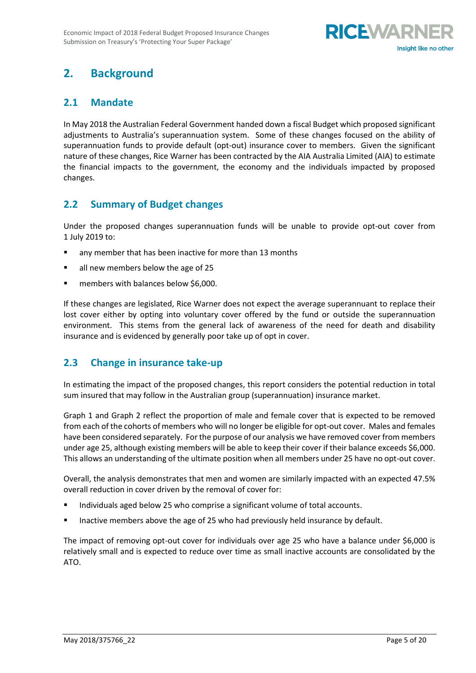

# <span id="page-5-0"></span>**2. Background**

# <span id="page-5-1"></span>**2.1 Mandate**

In May 2018 the Australian Federal Government handed down a fiscal Budget which proposed significant adjustments to Australia's superannuation system. Some of these changes focused on the ability of superannuation funds to provide default (opt-out) insurance cover to members. Given the significant nature of these changes, Rice Warner has been contracted by the AIA Australia Limited (AIA) to estimate the financial impacts to the government, the economy and the individuals impacted by proposed changes.

# <span id="page-5-2"></span>**2.2 Summary of Budget changes**

Under the proposed changes superannuation funds will be unable to provide opt-out cover from 1 July 2019 to:

- any member that has been inactive for more than 13 months
- all new members below the age of 25
- members with balances below \$6,000.

If these changes are legislated, Rice Warner does not expect the average superannuant to replace their lost cover either by opting into voluntary cover offered by the fund or outside the superannuation environment. This stems from the general lack of awareness of the need for death and disability insurance and is evidenced by generally poor take up of opt in cover.

### <span id="page-5-3"></span>**2.3 Change in insurance take-up**

In estimating the impact of the proposed changes, this report considers the potential reduction in total sum insured that may follow in the Australian group (superannuation) insurance market.

Graph 1 and Graph 2 reflect the proportion of male and female cover that is expected to be removed from each of the cohorts of members who will no longer be eligible for opt-out cover. Males and females have been considered separately. For the purpose of our analysis we have removed cover from members under age 25, although existing members will be able to keep their cover if their balance exceeds \$6,000. This allows an understanding of the ultimate position when all members under 25 have no opt-out cover.

Overall, the analysis demonstrates that men and women are similarly impacted with an expected 47.5% overall reduction in cover driven by the removal of cover for:

- Individuals aged below 25 who comprise a significant volume of total accounts.
- **■** Inactive members above the age of 25 who had previously held insurance by default.

The impact of removing opt-out cover for individuals over age 25 who have a balance under \$6,000 is relatively small and is expected to reduce over time as small inactive accounts are consolidated by the ATO.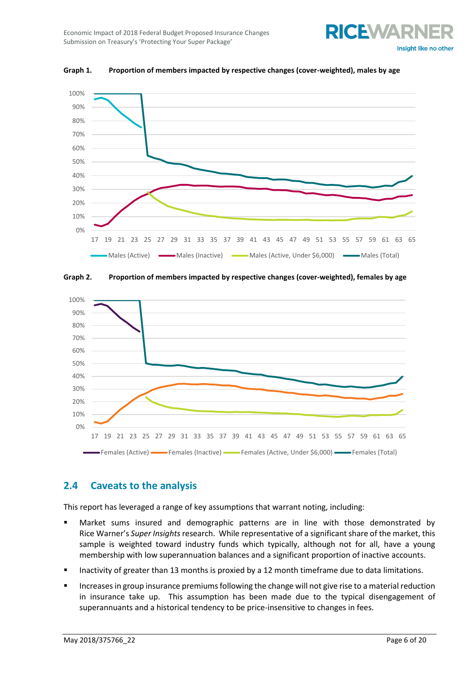



**Graph 1. Proportion of members impacted by respective changes (cover-weighted), males by age**





### <span id="page-6-0"></span>**2.4 Caveats to the analysis**

This report has leveraged a range of key assumptions that warrant noting, including:

- Market sums insured and demographic patterns are in line with those demonstrated by Rice Warner's *Super Insights* research. While representative of a significant share of the market, this sample is weighted toward industry funds which typically, although not for all, have a young membership with low superannuation balances and a significant proportion of inactive accounts.
- Inactivity of greater than 13 months is proxied by a 12 month timeframe due to data limitations.
- Increases in group insurance premiums following the change will not give rise to a material reduction in insurance take up. This assumption has been made due to the typical disengagement of superannuants and a historical tendency to be price-insensitive to changes in fees.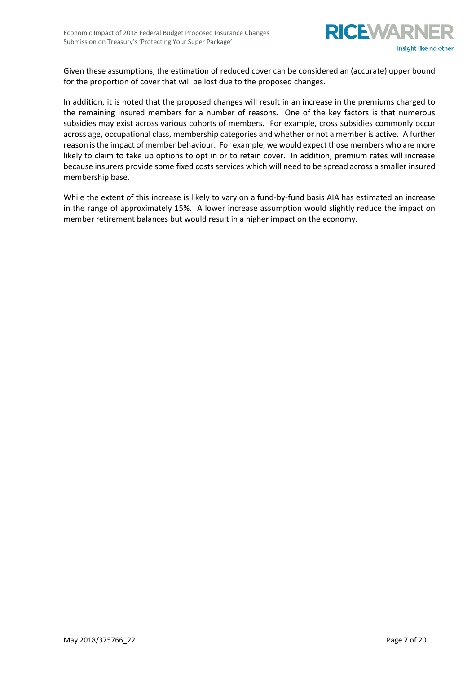

Given these assumptions, the estimation of reduced cover can be considered an (accurate) upper bound for the proportion of cover that will be lost due to the proposed changes.

In addition, it is noted that the proposed changes will result in an increase in the premiums charged to the remaining insured members for a number of reasons. One of the key factors is that numerous subsidies may exist across various cohorts of members. For example, cross subsidies commonly occur across age, occupational class, membership categories and whether or not a member is active. A further reason is the impact of member behaviour. For example, we would expect those members who are more likely to claim to take up options to opt in or to retain cover. In addition, premium rates will increase because insurers provide some fixed costs services which will need to be spread across a smaller insured membership base.

While the extent of this increase is likely to vary on a fund-by-fund basis AIA has estimated an increase in the range of approximately 15%. A lower increase assumption would slightly reduce the impact on member retirement balances but would result in a higher impact on the economy.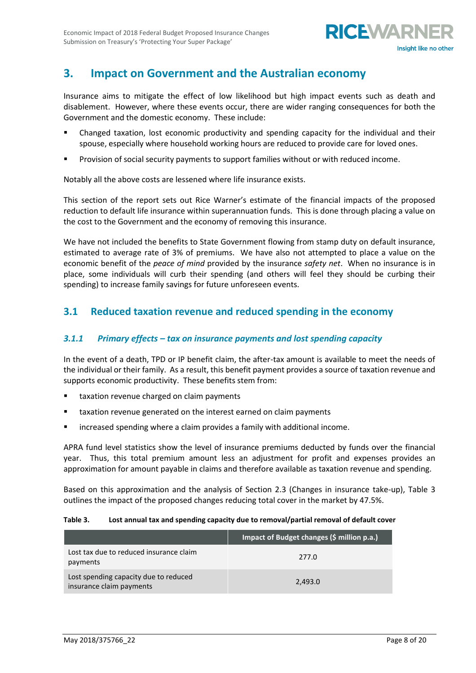

# <span id="page-8-0"></span>**3. Impact on Government and the Australian economy**

Insurance aims to mitigate the effect of low likelihood but high impact events such as death and disablement. However, where these events occur, there are wider ranging consequences for both the Government and the domestic economy. These include:

- Changed taxation, lost economic productivity and spending capacity for the individual and their spouse, especially where household working hours are reduced to provide care for loved ones.
- Provision of social security payments to support families without or with reduced income.

Notably all the above costs are lessened where life insurance exists.

This section of the report sets out Rice Warner's estimate of the financial impacts of the proposed reduction to default life insurance within superannuation funds. This is done through placing a value on the cost to the Government and the economy of removing this insurance.

We have not included the benefits to State Government flowing from stamp duty on default insurance, estimated to average rate of 3% of premiums. We have also not attempted to place a value on the economic benefit of the *peace of mind* provided by the insurance *safety net*. When no insurance is in place, some individuals will curb their spending (and others will feel they should be curbing their spending) to increase family savings for future unforeseen events.

# <span id="page-8-1"></span>**3.1 Reduced taxation revenue and reduced spending in the economy**

#### *3.1.1 Primary effects – tax on insurance payments and lost spending capacity*

In the event of a death, TPD or IP benefit claim, the after-tax amount is available to meet the needs of the individual or their family. As a result, this benefit payment provides a source of taxation revenue and supports economic productivity. These benefits stem from:

- taxation revenue charged on claim payments
- taxation revenue generated on the interest earned on claim payments
- increased spending where a claim provides a family with additional income.

APRA fund level statistics show the level of insurance premiums deducted by funds over the financial year. Thus, this total premium amount less an adjustment for profit and expenses provides an approximation for amount payable in claims and therefore available as taxation revenue and spending.

Based on this approximation and the analysis of Section 2.3 (Changes in insurance take-up), Table 3 outlines the impact of the proposed changes reducing total cover in the market by 47.5%.

#### **Table 3. Lost annual tax and spending capacity due to removal/partial removal of default cover**

|                                                                   | Impact of Budget changes (\$ million p.a.) |
|-------------------------------------------------------------------|--------------------------------------------|
| Lost tax due to reduced insurance claim<br>payments               | 277.0                                      |
| Lost spending capacity due to reduced<br>insurance claim payments | 2,493.0                                    |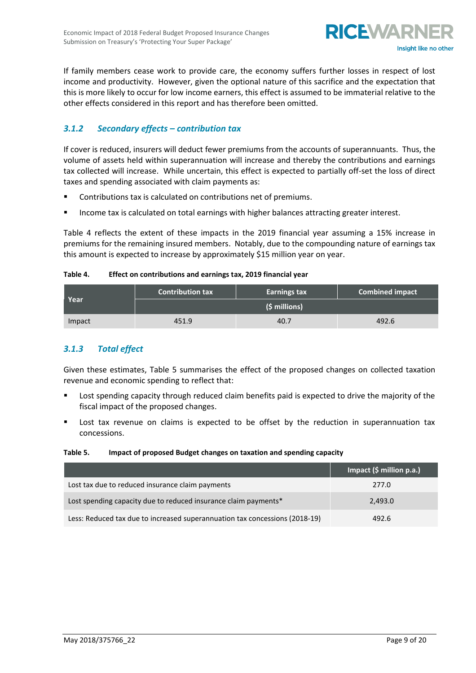

If family members cease work to provide care, the economy suffers further losses in respect of lost income and productivity. However, given the optional nature of this sacrifice and the expectation that this is more likely to occur for low income earners, this effect is assumed to be immaterial relative to the other effects considered in this report and has therefore been omitted.

#### *3.1.2 Secondary effects – contribution tax*

If cover is reduced, insurers will deduct fewer premiums from the accounts of superannuants. Thus, the volume of assets held within superannuation will increase and thereby the contributions and earnings tax collected will increase. While uncertain, this effect is expected to partially off-set the loss of direct taxes and spending associated with claim payments as:

- Contributions tax is calculated on contributions net of premiums.
- Income tax is calculated on total earnings with higher balances attracting greater interest.

Table 4 reflects the extent of these impacts in the 2019 financial year assuming a 15% increase in premiums for the remaining insured members. Notably, due to the compounding nature of earnings tax this amount is expected to increase by approximately \$15 million year on year.

#### **Table 4. Effect on contributions and earnings tax, 2019 financial year**

|        | <b>Contribution tax</b> | Earnings tax | <b>Combined impact</b> |  |  |
|--------|-------------------------|--------------|------------------------|--|--|
| Year   | (\$ millions)           |              |                        |  |  |
| Impact | 451.9                   | 40.7         | 492.6                  |  |  |

#### *3.1.3 Total effect*

Given these estimates, Table 5 summarises the effect of the proposed changes on collected taxation revenue and economic spending to reflect that:

- **EXECT** Lost spending capacity through reduced claim benefits paid is expected to drive the majority of the fiscal impact of the proposed changes.
- Lost tax revenue on claims is expected to be offset by the reduction in superannuation tax concessions.

#### **Table 5. Impact of proposed Budget changes on taxation and spending capacity**

|                                                                             | Impact (\$ million p.a.) |
|-----------------------------------------------------------------------------|--------------------------|
| Lost tax due to reduced insurance claim payments                            | 277.0                    |
| Lost spending capacity due to reduced insurance claim payments*             | 2,493.0                  |
| Less: Reduced tax due to increased superannuation tax concessions (2018-19) | 492.6                    |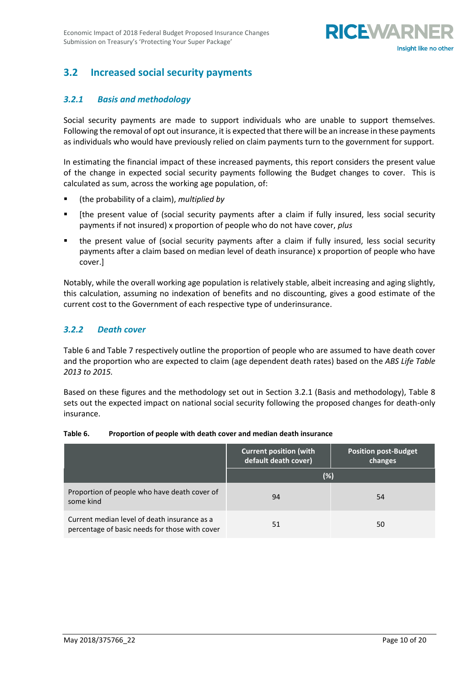

# <span id="page-10-0"></span>**3.2 Increased social security payments**

#### *3.2.1 Basis and methodology*

Social security payments are made to support individuals who are unable to support themselves. Following the removal of opt out insurance, it is expected that there will be an increase in these payments as individuals who would have previously relied on claim payments turn to the government for support.

In estimating the financial impact of these increased payments, this report considers the present value of the change in expected social security payments following the Budget changes to cover. This is calculated as sum, across the working age population, of:

- (the probability of a claim), *multiplied by*
- [the present value of (social security payments after a claim if fully insured, less social security payments if not insured) x proportion of people who do not have cover, *plus*
- the present value of (social security payments after a claim if fully insured, less social security payments after a claim based on median level of death insurance) x proportion of people who have cover.]

Notably, while the overall working age population is relatively stable, albeit increasing and aging slightly, this calculation, assuming no indexation of benefits and no discounting, gives a good estimate of the current cost to the Government of each respective type of underinsurance.

#### *3.2.2 Death cover*

Table 6 and Table 7 respectively outline the proportion of people who are assumed to have death cover and the proportion who are expected to claim (age dependent death rates) based on the *ABS Life Table 2013 to 2015.*

Based on these figures and the methodology set out in Section 3.2.1 (Basis and methodology), Table 8 sets out the expected impact on national social security following the proposed changes for death-only insurance.

|                                                                                                | <b>Current position (with</b><br>default death cover) | <b>Position post-Budget</b><br>changes |
|------------------------------------------------------------------------------------------------|-------------------------------------------------------|----------------------------------------|
|                                                                                                | (%)                                                   |                                        |
| Proportion of people who have death cover of<br>some kind                                      | 94                                                    | 54                                     |
| Current median level of death insurance as a<br>percentage of basic needs for those with cover | 51                                                    | 50                                     |

#### **Table 6. Proportion of people with death cover and median death insurance**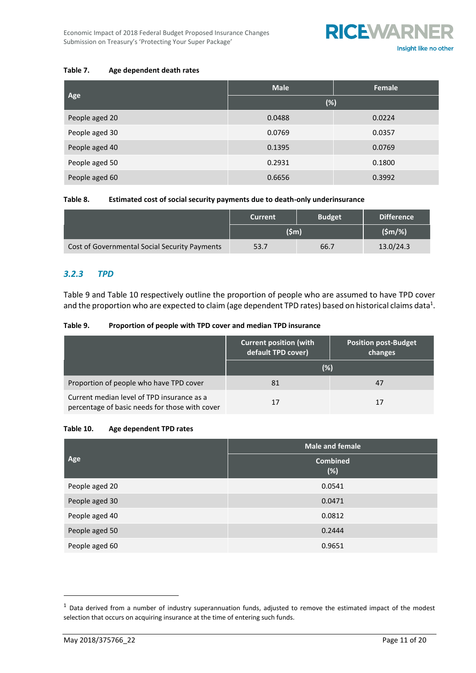**RICEWARNER** 

#### **Table 7. Age dependent death rates**

|                | <b>Male</b> | Female |
|----------------|-------------|--------|
| Age            | (%)         |        |
| People aged 20 | 0.0488      | 0.0224 |
| People aged 30 | 0.0769      | 0.0357 |
| People aged 40 | 0.1395      | 0.0769 |
| People aged 50 | 0.2931      | 0.1800 |
| People aged 60 | 0.6656      | 0.3992 |

#### **Table 8. Estimated cost of social security payments due to death-only underinsurance**

|                                               | <b>Current</b> | <b>Budget</b> | <b>Difference</b> |
|-----------------------------------------------|----------------|---------------|-------------------|
|                                               | $(\$m)$        |               | $(Sm/\%)$         |
| Cost of Governmental Social Security Payments | 53.7           | 66.7          | 13.0/24.3         |

#### *3.2.3 TPD*

Table 9 and Table 10 respectively outline the proportion of people who are assumed to have TPD cover and the proportion who are expected to claim (age dependent TPD rates) based on historical claims data $^1$ .

#### **Table 9. Proportion of people with TPD cover and median TPD insurance**

|                                                                                              | <b>Current position (with</b><br>default TPD cover) | <b>Position post-Budget</b><br>changes |
|----------------------------------------------------------------------------------------------|-----------------------------------------------------|----------------------------------------|
|                                                                                              | (%)                                                 |                                        |
| Proportion of people who have TPD cover                                                      | 81                                                  | 47                                     |
| Current median level of TPD insurance as a<br>percentage of basic needs for those with cover | 17                                                  | 17                                     |

#### **Table 10. Age dependent TPD rates**

|                | <b>Male and female</b> |  |
|----------------|------------------------|--|
| Age            | <b>Combined</b><br>(%) |  |
| People aged 20 | 0.0541                 |  |
| People aged 30 | 0.0471                 |  |
| People aged 40 | 0.0812                 |  |
| People aged 50 | 0.2444                 |  |
| People aged 60 | 0.9651                 |  |

 $1$  Data derived from a number of industry superannuation funds, adjusted to remove the estimated impact of the modest selection that occurs on acquiring insurance at the time of entering such funds.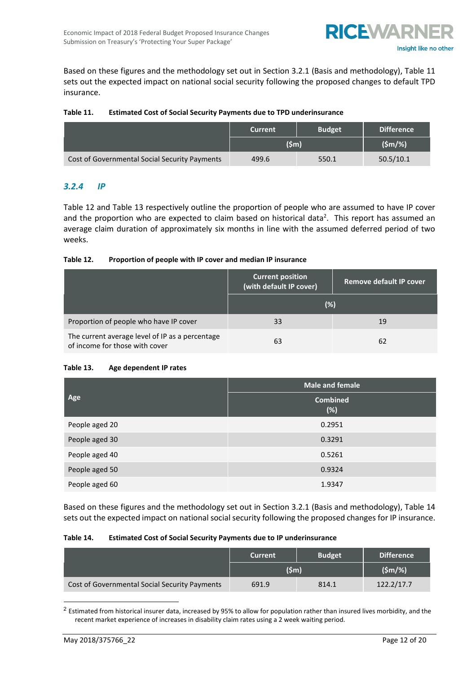

Based on these figures and the methodology set out in Section 3.2.1 (Basis and methodology), Table 11 sets out the expected impact on national social security following the proposed changes to default TPD insurance.

#### **Table 11. Estimated Cost of Social Security Payments due to TPD underinsurance**

|                                               | <b>Current</b>  | <b>Budget</b> | <b>Difference</b> |
|-----------------------------------------------|-----------------|---------------|-------------------|
|                                               | $(\mathsf{Sm})$ |               | $(Sm/\%)$         |
| Cost of Governmental Social Security Payments | 499.6           | 550.1         | 50.5/10.1         |

#### *3.2.4 IP*

Table 12 and Table 13 respectively outline the proportion of people who are assumed to have IP cover and the proportion who are expected to claim based on historical data<sup>2</sup>. This report has assumed an average claim duration of approximately six months in line with the assumed deferred period of two weeks.

#### **Table 12. Proportion of people with IP cover and median IP insurance**

|                                                                                   | <b>Current position</b><br>(with default IP cover) | <b>Remove default IP cover</b> |
|-----------------------------------------------------------------------------------|----------------------------------------------------|--------------------------------|
|                                                                                   | (%)                                                |                                |
| Proportion of people who have IP cover                                            | 33                                                 | 19                             |
| The current average level of IP as a percentage<br>of income for those with cover | 63                                                 | 62                             |

#### **Table 13. Age dependent IP rates**

|                | <b>Male and female</b> |  |
|----------------|------------------------|--|
| Age            | <b>Combined</b><br>(%) |  |
| People aged 20 | 0.2951                 |  |
| People aged 30 | 0.3291                 |  |
| People aged 40 | 0.5261                 |  |
| People aged 50 | 0.9324                 |  |
| People aged 60 | 1.9347                 |  |

Based on these figures and the methodology set out in Section 3.2.1 (Basis and methodology), Table 14 sets out the expected impact on national social security following the proposed changes for IP insurance.

#### **Table 14. Estimated Cost of Social Security Payments due to IP underinsurance**

|                                               | <b>Current</b>  | <b>Budget</b> | <b>Difference</b> |
|-----------------------------------------------|-----------------|---------------|-------------------|
|                                               | $(\mathsf{Sm})$ |               | $(Sm/\%)$         |
| Cost of Governmental Social Security Payments | 691.9           | 814.1         | 122.2/17.7        |

<sup>2</sup> Estimated from historical insurer data, increased by 95% to allow for population rather than insured lives morbidity, and the recent market experience of increases in disability claim rates using a 2 week waiting period.

-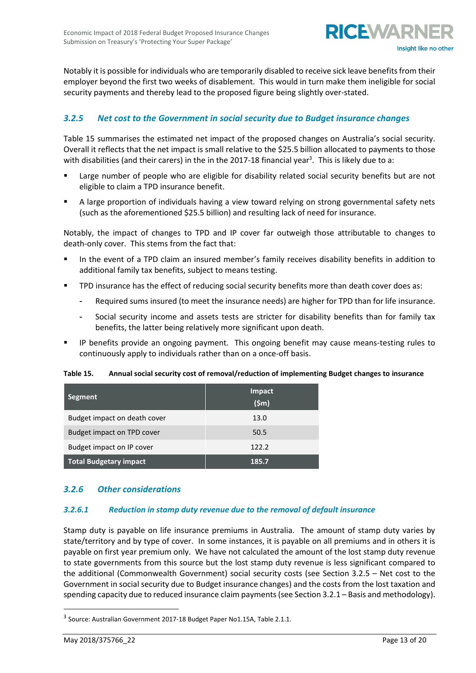

Notably it is possible for individuals who are temporarily disabled to receive sick leave benefits from their employer beyond the first two weeks of disablement. This would in turn make them ineligible for social security payments and thereby lead to the proposed figure being slightly over-stated.

#### *3.2.5 Net cost to the Government in social security due to Budget insurance changes*

Table 15 summarises the estimated net impact of the proposed changes on Australia's social security. Overall it reflects that the net impact is small relative to the \$25.5 billion allocated to payments to those with disabilities (and their carers) in the in the 2017-18 financial year<sup>3</sup>. This is likely due to a:

- Large number of people who are eligible for disability related social security benefits but are not eligible to claim a TPD insurance benefit.
- A large proportion of individuals having a view toward relying on strong governmental safety nets (such as the aforementioned \$25.5 billion) and resulting lack of need for insurance.

Notably, the impact of changes to TPD and IP cover far outweigh those attributable to changes to death-only cover. This stems from the fact that:

- In the event of a TPD claim an insured member's family receives disability benefits in addition to additional family tax benefits, subject to means testing.
- TPD insurance has the effect of reducing social security benefits more than death cover does as:
	- Required sums insured (to meet the insurance needs) are higher for TPD than for life insurance.
	- Social security income and assets tests are stricter for disability benefits than for family tax benefits, the latter being relatively more significant upon death.
- IP benefits provide an ongoing payment. This ongoing benefit may cause means-testing rules to continuously apply to individuals rather than on a once-off basis.

**Table 15. Annual social security cost of removal/reduction of implementing Budget changes to insurance**

| Segment                       | Impact<br>$(\mathsf{Sm})$ |
|-------------------------------|---------------------------|
| Budget impact on death cover  | 13.0                      |
| Budget impact on TPD cover    | 50.5                      |
| Budget impact on IP cover     | 122.2                     |
| <b>Total Budgetary impact</b> | 185.7                     |

#### *3.2.6 Other considerations*

#### *3.2.6.1 Reduction in stamp duty revenue due to the removal of default insurance*

Stamp duty is payable on life insurance premiums in Australia. The amount of stamp duty varies by state/territory and by type of cover. In some instances, it is payable on all premiums and in others it is payable on first year premium only. We have not calculated the amount of the lost stamp duty revenue to state governments from this source but the lost stamp duty revenue is less significant compared to the additional (Commonwealth Government) social security costs (see Section 3.2.5 – Net cost to the Government in social security due to Budget insurance changes) and the costs from the lost taxation and spending capacity due to reduced insurance claim payments (see Section 3.2.1 – Basis and methodology).

<sup>&</sup>lt;sup>3</sup> Source: Australian Government 2017-18 Budget Paper No1.15A, Table 2.1.1.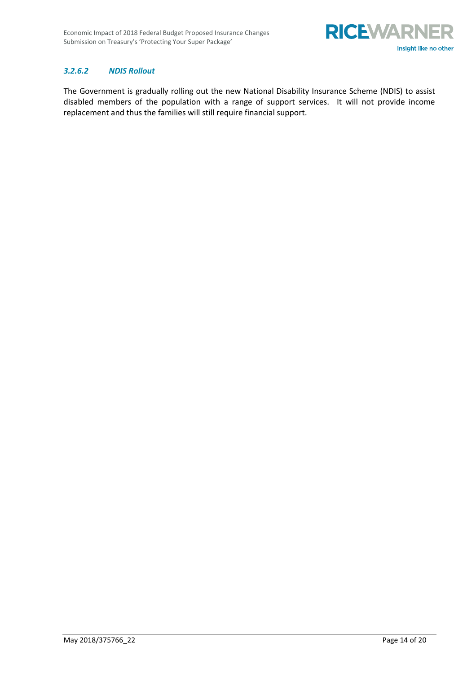

#### *3.2.6.2 NDIS Rollout*

The Government is gradually rolling out the new National Disability Insurance Scheme (NDIS) to assist disabled members of the population with a range of support services. It will not provide income replacement and thus the families will still require financial support.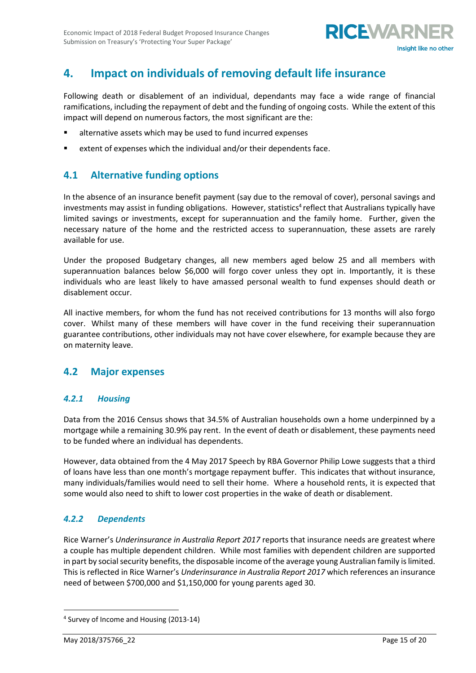

# <span id="page-15-0"></span>**4. Impact on individuals of removing default life insurance**

Following death or disablement of an individual, dependants may face a wide range of financial ramifications, including the repayment of debt and the funding of ongoing costs. While the extent of this impact will depend on numerous factors, the most significant are the:

- alternative assets which may be used to fund incurred expenses
- extent of expenses which the individual and/or their dependents face.

# <span id="page-15-1"></span>**4.1 Alternative funding options**

In the absence of an insurance benefit payment (say due to the removal of cover), personal savings and investments may assist in funding obligations. However, statistics<sup>4</sup> reflect that Australians typically have limited savings or investments, except for superannuation and the family home. Further, given the necessary nature of the home and the restricted access to superannuation, these assets are rarely available for use.

Under the proposed Budgetary changes, all new members aged below 25 and all members with superannuation balances below \$6,000 will forgo cover unless they opt in. Importantly, it is these individuals who are least likely to have amassed personal wealth to fund expenses should death or disablement occur.

All inactive members, for whom the fund has not received contributions for 13 months will also forgo cover. Whilst many of these members will have cover in the fund receiving their superannuation guarantee contributions, other individuals may not have cover elsewhere, for example because they are on maternity leave.

### <span id="page-15-2"></span>**4.2 Major expenses**

#### *4.2.1 Housing*

Data from the 2016 Census shows that 34.5% of Australian households own a home underpinned by a mortgage while a remaining 30.9% pay rent. In the event of death or disablement, these payments need to be funded where an individual has dependents.

However, data obtained from the 4 May 2017 Speech by RBA Governor Philip Lowe suggests that a third of loans have less than one month's mortgage repayment buffer. This indicates that without insurance, many individuals/families would need to sell their home. Where a household rents, it is expected that some would also need to shift to lower cost properties in the wake of death or disablement.

#### *4.2.2 Dependents*

Rice Warner's *Underinsurance in Australia Report 2017* reports that insurance needs are greatest where a couple has multiple dependent children. While most families with dependent children are supported in part by social security benefits, the disposable income of the average young Australian family is limited. This is reflected in Rice Warner's *Underinsurance in Australia Report 2017* which references an insurance need of between \$700,000 and \$1,150,000 for young parents aged 30.

<sup>4</sup> Survey of Income and Housing (2013-14)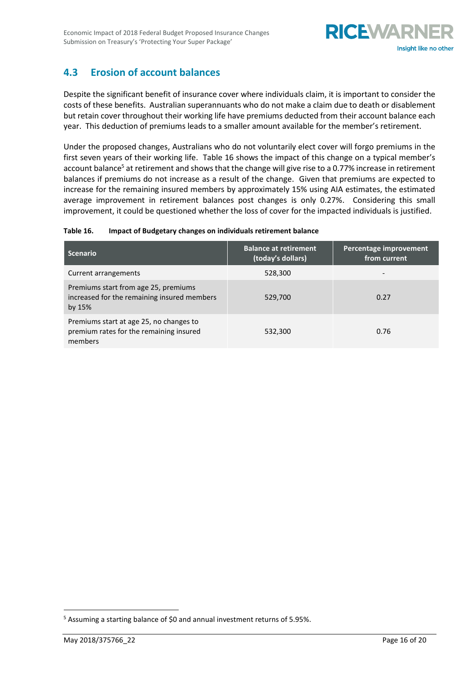

# <span id="page-16-0"></span>**4.3 Erosion of account balances**

Despite the significant benefit of insurance cover where individuals claim, it is important to consider the costs of these benefits. Australian superannuants who do not make a claim due to death or disablement but retain cover throughout their working life have premiums deducted from their account balance each year. This deduction of premiums leads to a smaller amount available for the member's retirement.

Under the proposed changes, Australians who do not voluntarily elect cover will forgo premiums in the first seven years of their working life. Table 16 shows the impact of this change on a typical member's account balance<sup>5</sup> at retirement and shows that the change will give rise to a 0.77% increase in retirement balances if premiums do not increase as a result of the change. Given that premiums are expected to increase for the remaining insured members by approximately 15% using AIA estimates, the estimated average improvement in retirement balances post changes is only 0.27%. Considering this small improvement, it could be questioned whether the loss of cover for the impacted individuals is justified.

#### **Table 16. Impact of Budgetary changes on individuals retirement balance**

| <b>Scenario</b>                                                                                 | <b>Balance at retirement</b><br>(today's dollars) | Percentage improvement<br>from current |
|-------------------------------------------------------------------------------------------------|---------------------------------------------------|----------------------------------------|
| Current arrangements                                                                            | 528,300                                           |                                        |
| Premiums start from age 25, premiums<br>increased for the remaining insured members<br>by $15%$ | 529,700                                           | 0.27                                   |
| Premiums start at age 25, no changes to<br>premium rates for the remaining insured<br>members   | 532,300                                           | 0.76                                   |

<sup>&</sup>lt;sup>5</sup> Assuming a starting balance of \$0 and annual investment returns of 5.95%.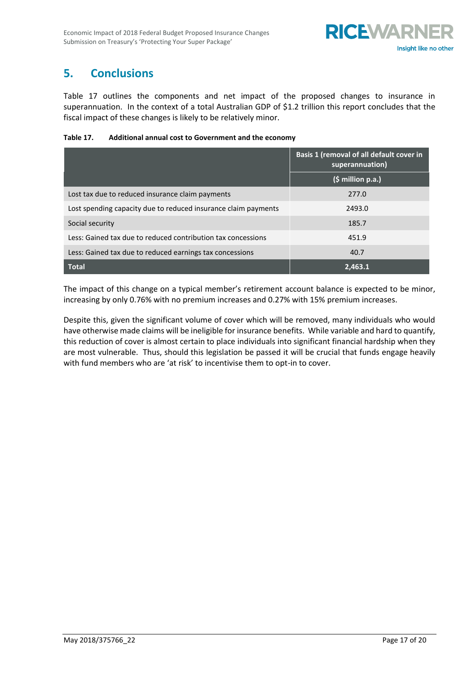# <span id="page-17-0"></span>**5. Conclusions**

Table 17 outlines the components and net impact of the proposed changes to insurance in superannuation. In the context of a total Australian GDP of \$1.2 trillion this report concludes that the fiscal impact of these changes is likely to be relatively minor.

| Table 17. | Additional annual cost to Government and the economy |
|-----------|------------------------------------------------------|
|-----------|------------------------------------------------------|

|                                                                | Basis 1 (removal of all default cover in<br>superannuation) |  |
|----------------------------------------------------------------|-------------------------------------------------------------|--|
|                                                                | $(\xi million p.a.)$                                        |  |
| Lost tax due to reduced insurance claim payments               | 277.0                                                       |  |
| Lost spending capacity due to reduced insurance claim payments | 2493.0                                                      |  |
| Social security                                                | 185.7                                                       |  |
| Less: Gained tax due to reduced contribution tax concessions   | 451.9                                                       |  |
| Less: Gained tax due to reduced earnings tax concessions       | 40.7                                                        |  |
| <b>Total</b>                                                   | 2,463.1                                                     |  |

The impact of this change on a typical member's retirement account balance is expected to be minor, increasing by only 0.76% with no premium increases and 0.27% with 15% premium increases.

Despite this, given the significant volume of cover which will be removed, many individuals who would have otherwise made claims will be ineligible for insurance benefits. While variable and hard to quantify, this reduction of cover is almost certain to place individuals into significant financial hardship when they are most vulnerable. Thus, should this legislation be passed it will be crucial that funds engage heavily with fund members who are 'at risk' to incentivise them to opt-in to cover.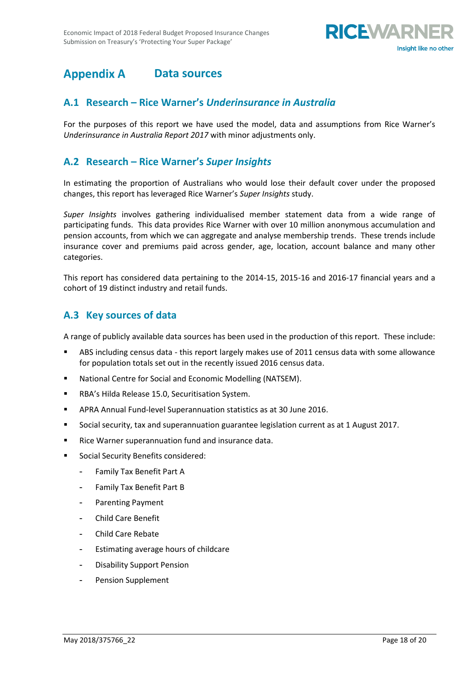

#### <span id="page-18-0"></span>**Appendix A Data sources**

#### <span id="page-18-1"></span>**A.1 Research – Rice Warner's** *Underinsurance in Australia*

For the purposes of this report we have used the model, data and assumptions from Rice Warner's *Underinsurance in Australia Report 2017* with minor adjustments only.

### <span id="page-18-2"></span>**A.2 Research – Rice Warner's** *Super Insights*

In estimating the proportion of Australians who would lose their default cover under the proposed changes, this report has leveraged Rice Warner's *Super Insights* study.

*Super Insights* involves gathering individualised member statement data from a wide range of participating funds. This data provides Rice Warner with over 10 million anonymous accumulation and pension accounts, from which we can aggregate and analyse membership trends. These trends include insurance cover and premiums paid across gender, age, location, account balance and many other categories.

This report has considered data pertaining to the 2014-15, 2015-16 and 2016-17 financial years and a cohort of 19 distinct industry and retail funds.

### <span id="page-18-3"></span>**A.3 Key sources of data**

A range of publicly available data sources has been used in the production of this report. These include:

- ABS including census data this report largely makes use of 2011 census data with some allowance for population totals set out in the recently issued 2016 census data.
- National Centre for Social and Economic Modelling (NATSEM).
- RBA's Hilda Release 15.0, Securitisation System.
- APRA Annual Fund-level Superannuation statistics as at 30 June 2016.
- Social security, tax and superannuation guarantee legislation current as at 1 August 2017.
- Rice Warner superannuation fund and insurance data.
- Social Security Benefits considered:
	- [Family Tax Benefit Part A](http://www.centrelink.gov.au/internet/internet.nsf/payments/ftb_a.htm)
	- [Family Tax Benefit Part B](http://www.centrelink.gov.au/internet/internet.nsf/payments/ftb_b.htm)
	- Parenting Payment
	- Child Care Benefit
	- Child Care Rebate
	- Estimating average hours of childcare
	- Disability Support Pension
	- Pension Supplement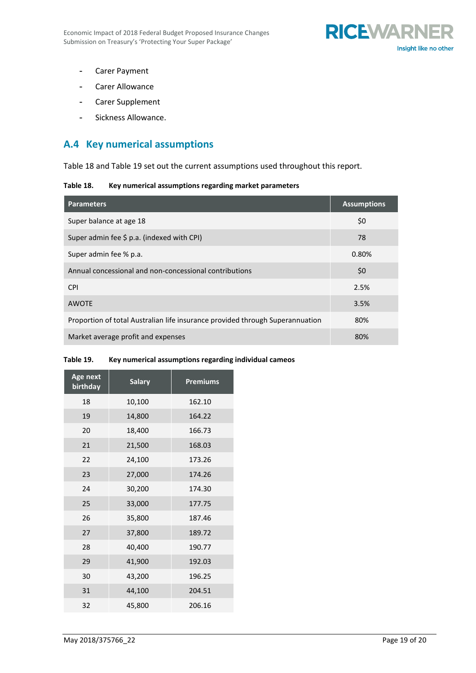

- Carer Payment
- Carer Allowance
- Carer Supplement
- Sickness Allowance.

# <span id="page-19-0"></span>**A.4 Key numerical assumptions**

Table 18 and Table 19 set out the current assumptions used throughout this report.

#### **Table 18. Key numerical assumptions regarding market parameters**

| <b>Parameters</b>                                                             | <b>Assumptions</b> |
|-------------------------------------------------------------------------------|--------------------|
| Super balance at age 18                                                       | \$0                |
| Super admin fee \$ p.a. (indexed with CPI)                                    | 78                 |
| Super admin fee % p.a.                                                        | 0.80%              |
| Annual concessional and non-concessional contributions                        | \$0                |
| <b>CPI</b>                                                                    | 2.5%               |
| <b>AWOTE</b>                                                                  | 3.5%               |
| Proportion of total Australian life insurance provided through Superannuation | 80%                |
| Market average profit and expenses                                            | 80%                |

# **Table 19. Key numerical assumptions regarding individual cameos**

| Age next<br>birthday | <b>Salary</b> | <b>Premiums</b> |
|----------------------|---------------|-----------------|
| 18                   | 10,100        | 162.10          |
| 19                   | 14,800        | 164.22          |
| 20                   | 18,400        | 166.73          |
| 21                   | 21,500        | 168.03          |
| 22                   | 24,100        | 173.26          |
| 23                   | 27,000        | 174.26          |
| 24                   | 30,200        | 174.30          |
| 25                   | 33,000        | 177.75          |
| 26                   | 35,800        | 187.46          |
| 27                   | 37,800        | 189.72          |
| 28                   | 40,400        | 190.77          |
| 29                   | 41,900        | 192.03          |
| 30                   | 43,200        | 196.25          |
| 31                   | 44,100        | 204.51          |
| 32                   | 45,800        | 206.16          |